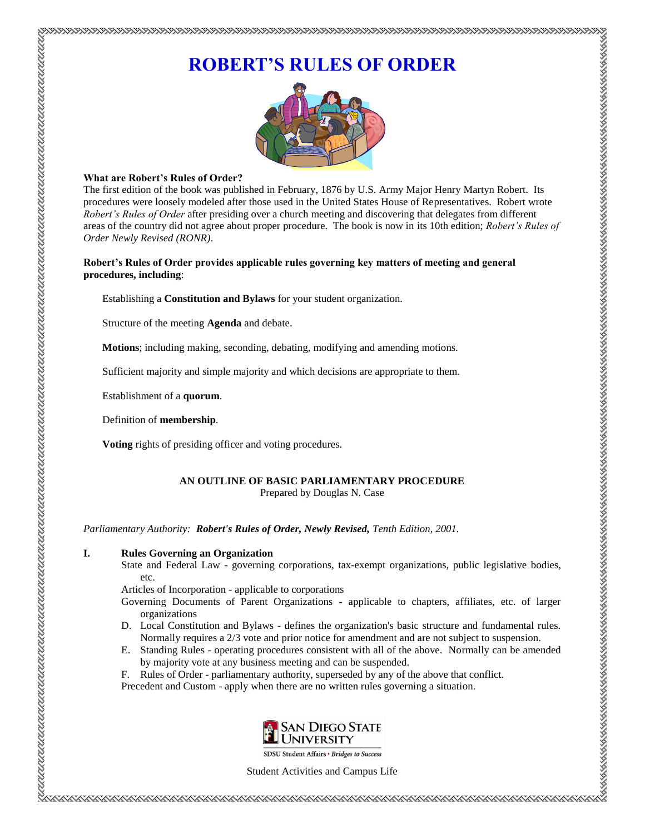# **ROBERT'S RULES OF ORDER**



## **What are Robert's Rules of Order?**

The first edition of the book was published in February, 1876 by U.S. Army Major Henry Martyn Robert. Its procedures were loosely modeled after those used in the United States House of Representatives. Robert wrote *Robert's Rules of Order* after presiding over a church meeting and discovering that delegates from different areas of the country did not agree about proper procedure. The book is now in its 10th edition; *Robert's Rules of Order Newly Revised (RONR)*.

## **Robert's Rules of Order provides applicable rules governing key matters of meeting and general procedures, including**:

Establishing a **Constitution and Bylaws** for your student organization.

Structure of the meeting **Agenda** and debate.

**Motions**; including making, seconding, debating, modifying and amending motions.

Sufficient majority and simple majority and which decisions are appropriate to them.

Establishment of a **quorum**.

Definition of **membership**.

**Voting** rights of presiding officer and voting procedures.

## **AN OUTLINE OF BASIC PARLIAMENTARY PROCEDURE** Prepared by Douglas N. Case

*Parliamentary Authority: Robert's Rules of Order, Newly Revised, Tenth Edition, 2001.*

# **I. Rules Governing an Organization**

State and Federal Law - governing corporations, tax-exempt organizations, public legislative bodies, etc.

Articles of Incorporation - applicable to corporations

- Governing Documents of Parent Organizations applicable to chapters, affiliates, etc. of larger organizations
- D. Local Constitution and Bylaws defines the organization's basic structure and fundamental rules. Normally requires a 2/3 vote and prior notice for amendment and are not subject to suspension.
- E. Standing Rules operating procedures consistent with all of the above. Normally can be amended by majority vote at any business meeting and can be suspended.
- F. Rules of Order parliamentary authority, superseded by any of the above that conflict.

Precedent and Custom - apply when there are no written rules governing a situation.



Student Activities and Campus Life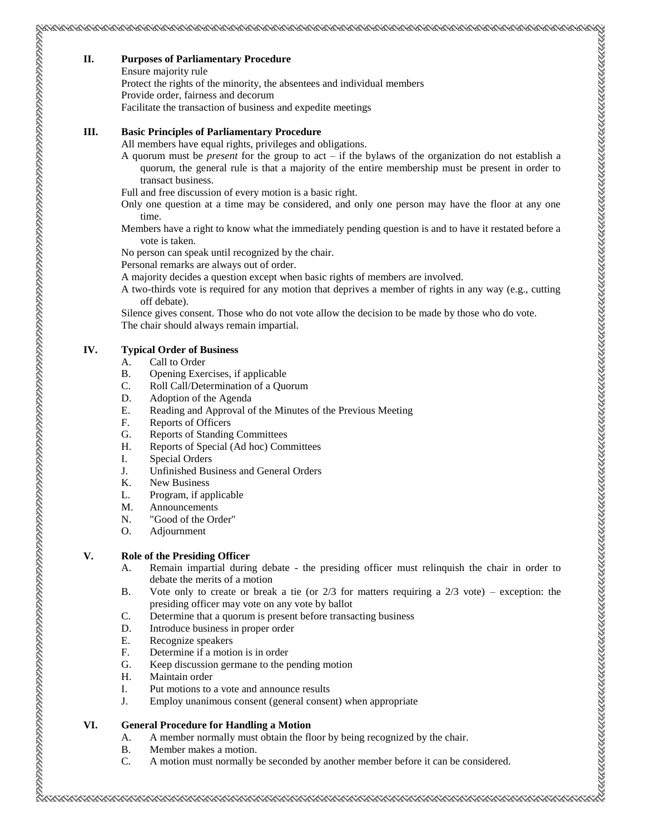#### **II. Purposes of Parliamentary Procedure**

Ensure majority rule

Protect the rights of the minority, the absentees and individual members

Provide order, fairness and decorum

Facilitate the transaction of business and expedite meetings

#### **III. Basic Principles of Parliamentary Procedure**

All members have equal rights, privileges and obligations.

- A quorum must be *present* for the group to act if the bylaws of the organization do not establish a quorum, the general rule is that a majority of the entire membership must be present in order to transact business.
- Full and free discussion of every motion is a basic right.
- Only one question at a time may be considered, and only one person may have the floor at any one time.
- Members have a right to know what the immediately pending question is and to have it restated before a vote is taken.

No person can speak until recognized by the chair.

- Personal remarks are always out of order.
- A majority decides a question except when basic rights of members are involved.
- A two-thirds vote is required for any motion that deprives a member of rights in any way (e.g., cutting off debate).
- Silence gives consent. Those who do not vote allow the decision to be made by those who do vote.

The chair should always remain impartial.

## **IV. Typical Order of Business**

- A. Call to Order
- B. Opening Exercises, if applicable
- C. Roll Call/Determination of a Quorum
- D. Adoption of the Agenda
- E. Reading and Approval of the Minutes of the Previous Meeting
- F. Reports of Officers
- G. Reports of Standing Committees
- H. Reports of Special (Ad hoc) Committees
- I. Special Orders
- J. Unfinished Business and General Orders
- K. New Business
- L. Program, if applicable
- M. Announcements
- N. "Good of the Order"
- O. Adjournment

## **V. Role of the Presiding Officer**

- A. Remain impartial during debate the presiding officer must relinquish the chair in order to debate the merits of a motion
- B. Vote only to create or break a tie (or  $2/3$  for matters requiring a  $2/3$  vote) exception: the presiding officer may vote on any vote by ballot
- C. Determine that a quorum is present before transacting business
- D. Introduce business in proper order
- E. Recognize speakers
- F. Determine if a motion is in order
- G. Keep discussion germane to the pending motion
- H. Maintain order
- I. Put motions to a vote and announce results
- J. Employ unanimous consent (general consent) when appropriate

## **VI. General Procedure for Handling a Motion**

- A. A member normally must obtain the floor by being recognized by the chair.
- B. Member makes a motion.
- C. A motion must normally be seconded by another member before it can be considered.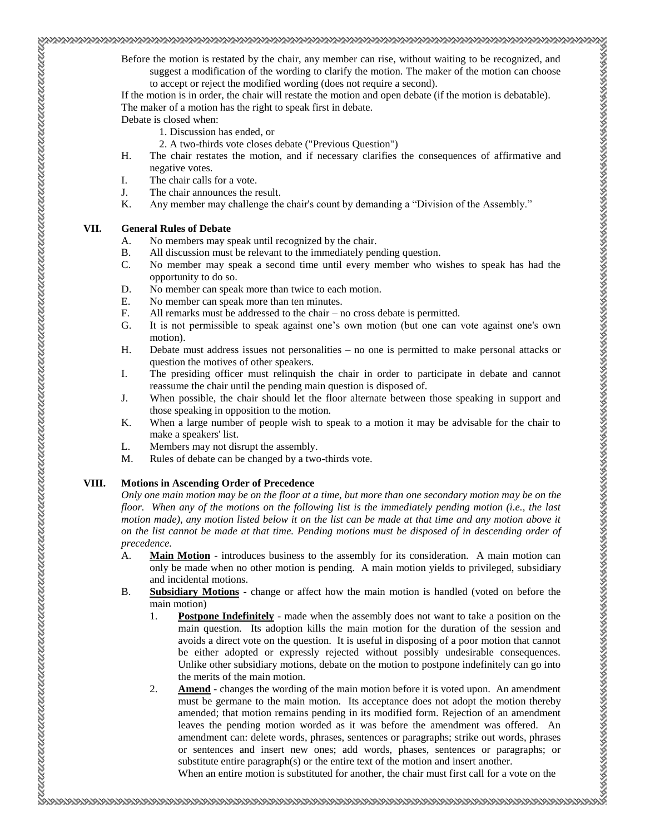Before the motion is restated by the chair, any member can rise, without waiting to be recognized, and suggest a modification of the wording to clarify the motion. The maker of the motion can choose to accept or reject the modified wording (does not require a second).

If the motion is in order, the chair will restate the motion and open debate (if the motion is debatable). The maker of a motion has the right to speak first in debate.

Debate is closed when:

- 1. Discussion has ended, or
- 2. A two-thirds vote closes debate ("Previous Question")
- H. The chair restates the motion, and if necessary clarifies the consequences of affirmative and negative votes.
- I. The chair calls for a vote.
- J. The chair announces the result.
- K. Any member may challenge the chair's count by demanding a "Division of the Assembly."

#### **VII. General Rules of Debate**

- A. No members may speak until recognized by the chair.
- B. All discussion must be relevant to the immediately pending question.
- C. No member may speak a second time until every member who wishes to speak has had the opportunity to do so.
- D. No member can speak more than twice to each motion.
- E. No member can speak more than ten minutes.
- F. All remarks must be addressed to the chair no cross debate is permitted.
- G. It is not permissible to speak against one's own motion (but one can vote against one's own motion).
- H. Debate must address issues not personalities no one is permitted to make personal attacks or question the motives of other speakers.
- I. The presiding officer must relinquish the chair in order to participate in debate and cannot reassume the chair until the pending main question is disposed of.
- J. When possible, the chair should let the floor alternate between those speaking in support and those speaking in opposition to the motion.
- K. When a large number of people wish to speak to a motion it may be advisable for the chair to make a speakers' list.
- L. Members may not disrupt the assembly.
- M. Rules of debate can be changed by a two-thirds vote.

#### **VIII. Motions in Ascending Order of Precedence**

*Only one main motion may be on the floor at a time, but more than one secondary motion may be on the floor. When any of the motions on the following list is the immediately pending motion (i.e., the last motion made), any motion listed below it on the list can be made at that time and any motion above it on the list cannot be made at that time. Pending motions must be disposed of in descending order of precedence.*

- A. **Main Motion** introduces business to the assembly for its consideration. A main motion can only be made when no other motion is pending. A main motion yields to privileged, subsidiary and incidental motions.
- B. **Subsidiary Motions** change or affect how the main motion is handled (voted on before the main motion)
	- 1. **Postpone Indefinitely** made when the assembly does not want to take a position on the main question. Its adoption kills the main motion for the duration of the session and avoids a direct vote on the question. It is useful in disposing of a poor motion that cannot be either adopted or expressly rejected without possibly undesirable consequences. Unlike other subsidiary motions, debate on the motion to postpone indefinitely can go into the merits of the main motion.
	- 2. **Amend** changes the wording of the main motion before it is voted upon. An amendment must be germane to the main motion. Its acceptance does not adopt the motion thereby amended; that motion remains pending in its modified form. Rejection of an amendment leaves the pending motion worded as it was before the amendment was offered. An amendment can: delete words, phrases, sentences or paragraphs; strike out words, phrases or sentences and insert new ones; add words, phases, sentences or paragraphs; or substitute entire paragraph(s) or the entire text of the motion and insert another.

When an entire motion is substituted for another, the chair must first call for a vote on the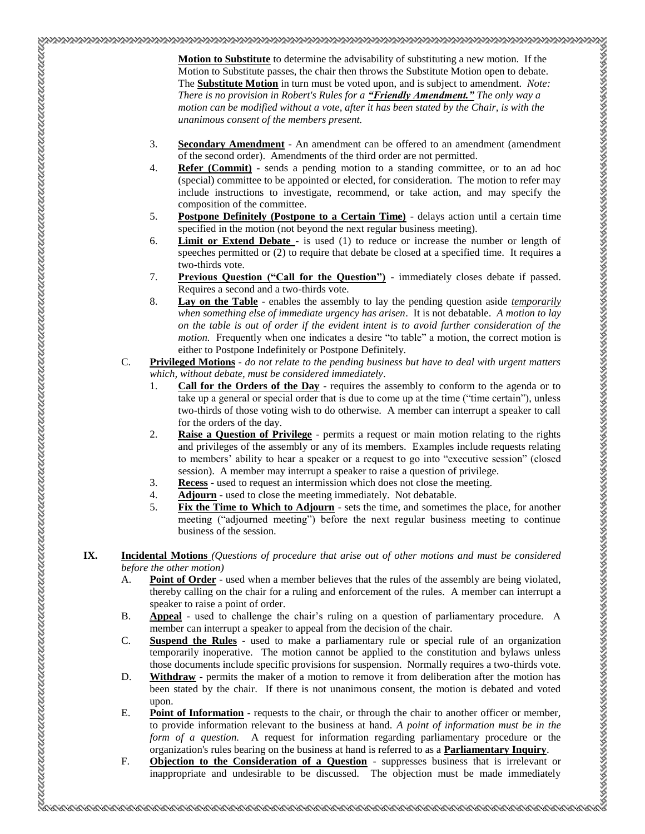**Motion to Substitute** to determine the advisability of substituting a new motion. If the Motion to Substitute passes, the chair then throws the Substitute Motion open to debate. The **Substitute Motion** in turn must be voted upon, and is subject to amendment. *Note: There is no provision in Robert's Rules for a "Friendly Amendment." The only way a motion can be modified without a vote, after it has been stated by the Chair, is with the unanimous consent of the members present.* 

- 3. **Secondary Amendment** An amendment can be offered to an amendment (amendment of the second order). Amendments of the third order are not permitted.
- 4. **Refer (Commit) -** sends a pending motion to a standing committee, or to an ad hoc (special) committee to be appointed or elected, for consideration. The motion to refer may include instructions to investigate, recommend, or take action, and may specify the composition of the committee.
- 5. **Postpone Definitely (Postpone to a Certain Time)** delays action until a certain time specified in the motion (not beyond the next regular business meeting).
- 6. **Limit or Extend Debate** is used (1) to reduce or increase the number or length of speeches permitted or (2) to require that debate be closed at a specified time. It requires a two-thirds vote.
- 7. **Previous Question ("Call for the Question")** immediately closes debate if passed. Requires a second and a two-thirds vote.
- 8. **Lay on the Table** enables the assembly to lay the pending question aside *temporarily when something else of immediate urgency has arisen*. It is not debatable. *A motion to lay on the table is out of order if the evident intent is to avoid further consideration of the motion*. Frequently when one indicates a desire "to table" a motion, the correct motion is either to Postpone Indefinitely or Postpone Definitely.
- C. **Privileged Motions** *do not relate to the pending business but have to deal with urgent matters which, without debate, must be considered immediately*.
	- 1. **Call for the Orders of the Day** requires the assembly to conform to the agenda or to take up a general or special order that is due to come up at the time ("time certain"), unless two-thirds of those voting wish to do otherwise. A member can interrupt a speaker to call for the orders of the day.
	- 2. **Raise a Question of Privilege** permits a request or main motion relating to the rights and privileges of the assembly or any of its members. Examples include requests relating to members' ability to hear a speaker or a request to go into "executive session" (closed session). A member may interrupt a speaker to raise a question of privilege.
	- 3. **Recess** used to request an intermission which does not close the meeting.
	- 4. **Adjourn** used to close the meeting immediately. Not debatable.
	- 5. **Fix the Time to Which to Adjourn** sets the time, and sometimes the place, for another meeting ("adjourned meeting") before the next regular business meeting to continue business of the session.

#### **IX. Incidental Motions** *(Questions of procedure that arise out of other motions and must be considered before the other motion)*

- A. **Point of Order** used when a member believes that the rules of the assembly are being violated, thereby calling on the chair for a ruling and enforcement of the rules. A member can interrupt a speaker to raise a point of order.
- B. **Appeal** used to challenge the chair's ruling on a question of parliamentary procedure. A member can interrupt a speaker to appeal from the decision of the chair.
- C. **Suspend the Rules** used to make a parliamentary rule or special rule of an organization temporarily inoperative. The motion cannot be applied to the constitution and bylaws unless those documents include specific provisions for suspension. Normally requires a two-thirds vote.
- D. Withdraw permits the maker of a motion to remove it from deliberation after the motion has been stated by the chair. If there is not unanimous consent, the motion is debated and voted upon.
- E. **Point of Information** requests to the chair, or through the chair to another officer or member, to provide information relevant to the business at hand. *A point of information must be in the form of a question.* A request for information regarding parliamentary procedure or the organization's rules bearing on the business at hand is referred to as a **Parliamentary Inquiry**.
- F. **Objection to the Consideration of a Question** suppresses business that is irrelevant or inappropriate and undesirable to be discussed. The objection must be made immediately